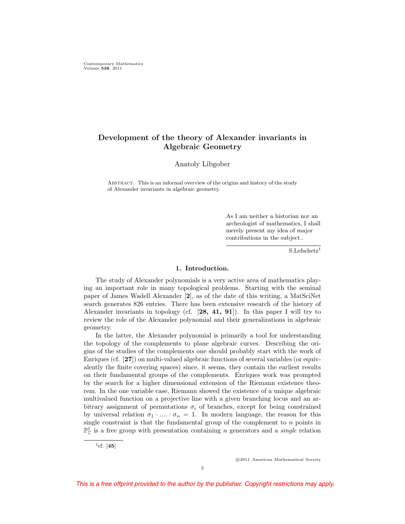Contemporary Mathematics Volume **538**, 2011

# **Development of the theory of Alexander invariants in Algebraic Geometry**

Anatoly Libgober

Abstract. This is an informal overview of the origins and history of the study of Alexander invariants in algebraic geometry.

> As I am neither a historian nor an archeologist of mathematics, I shall merely present my idea of major contributions in the subject..

> > $S.Lefschetz<sup>1</sup>$

# **1. Introduction.**

The study of Alexander polynomials is a very active area of mathematics playing an important role in many topological problems. Starting with the seminal paper of James Wadell Alexander [**2**], as of the date of this writing, a MatSciNet search generates 826 entries. There has been extensive research of the history of Alexander invariants in topology (cf. [**28, 41, 91**]). In this paper I will try to review the role of the Alexander polynomial and their generalizations in algebraic geometry.

In the latter, the Alexander polynomial is primarily a tool for understanding the topology of the complements to plane algebraic curves. Describing the origins of the studies of the complements one should probably start with the work of Enriques (cf. [**27**]) on multi-valued algebraic functions of several variables (or equivalently the finite covering spaces) since, it seems, they contain the earliest results on their fundamental groups of the complements. Enriques work was prompted by the search for a higher dimensional extension of the Riemann existence theorem. In the one variable case, Riemann showed the existence of a unique algebraic multivalued function on a projective line with a given branching locus and an arbitrary assignment of permutations  $\sigma_i$  of branches, except for being constrained by universal relation  $\sigma_1 \cdot ... \cdot \sigma_n = 1$ . In modern language, the reason for this single constraint is that the fundamental group of the complement to  $n$  points in  $\mathbb{P}^1_{\mathbb{C}}$  is a free group with presentation containing n generators and a *single* relation

 ${}^{1}$ cf. [45]

©2011 American Mathematical Society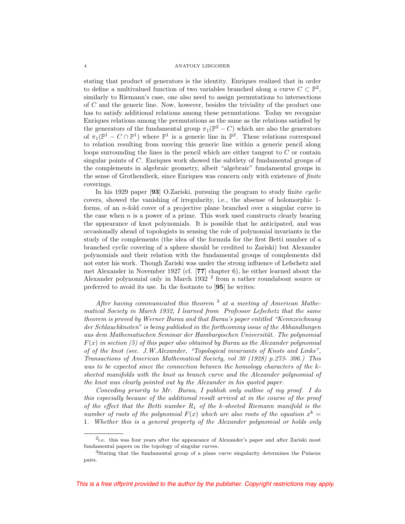stating that product of generators is the identity. Enriques realized that in order to define a multivalued function of two variables branched along a curve  $C \subset \mathbb{P}^2$ , similarly to Riemann's case, one also need to assign permutations to intersections of C and the generic line. Now, however, besides the triviality of the product one has to satisfy additional relations among these permutations. Today we recognize Enriques relations among the permutations as the same as the relations satisfied by the generators of the fundamental group  $\pi_1(\mathbb{P}^2 - C)$  which are also the generators of  $\pi_1(\mathbb{P}^1 - C \cap \mathbb{P}^1)$  where  $\mathbb{P}^1$  is a generic line in  $\mathbb{P}^2$ . These relations correspond to relation resulting from moving this generic line within a generic pencil along loops surrounding the lines in the pencil which are either tangent to C or contain singular points of C. Enriques work showed the subtlety of fundamental groups of the complements in algebraic geometry, albeit "algebraic" fundamental groups in the sense of Grothendieck, since Enriques was concern only with existence of finite coverings.

In his 1929 paper [**93**] O.Zariski, pursuing the program to study finite cyclic covers, showed the vanishing of irregularity, i.e., the absense of holomorphic 1 forms, of an n-fold cover of a projective plane branched over a singular curve in the case when  $n$  is a power of a prime. This work used constructs clearly bearing the appearance of knot polynomials. It is possible that he anticipated, and was occasionally ahead of topologists in sensing the role of polynomial invariants in the study of the complements (the idea of the formula for the first Betti number of a branched cyclic covering of a sphere should be credited to Zariski) but Alexander polynomials and their relation with the fundamental groups of complements did not enter his work. Though Zariski was under the strong influence of Lefschetz and met Alexander in November 1927 (cf. [**77**] chapter 6), he either learned about the Alexander polynomial only in March 1932 <sup>2</sup> from a rather roundabout source or preferred to avoid its use. In the footnote to [**95**] he writes:

After having communicated this theorem  $3$  at a meeting of American Mathematical Society in March 1932, I learned from Professor Lefschetz that the same theorem is proved by Werner Burau and that Burau's paper entitled "Kennzeichnung der Schlauchknoten" is being published in the forthcoming issue of the Abhandlungen aus dem Mathematischen Seminar der Hamburgischen Universität. The polynomial  $F(x)$  in section (5) of this paper also obtained by Burau as the Alexander polynomial of of the knot (see. J.W.Alexander, "Topological invariants of Knots and Links", Transactions of American Mathematical Society, vol 30 (1928) p.273- 306.) This was to be expected since the connection between the homology characters of the ksheeted manifolds with the knot as branch curve and the Alexander polynomial of the knot was clearly pointed out by the Alexander in his quoted paper.

Conceding priority to Mr. Burau, I publish only outline of my proof. I do this especially because of the additional result arrived at in the course of the proof of the effect that the Betti number  $R_1$  of the k-sheeted Riemann manifold is the number of roots of the polynomial  $F(x)$  which are also roots of the equation  $x^k =$ 1. Whether this is a general property of the Alexander polynomial or holds only

<sup>2</sup>i.e. this was four years after the appearance of Alexander's paper and after Zariski most fundamental papers on the topology of singular curves.

<sup>&</sup>lt;sup>3</sup>Stating that the fundamental group of a plane curve singularity determines the Puiseux pairs.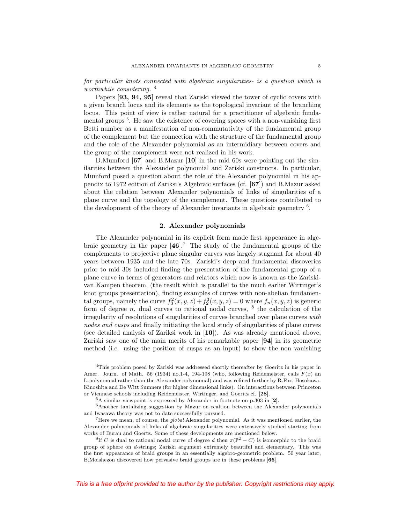for particular knots connected with algebraic singularities- is a question which is worthwhile considering. 4

Papers [**93, 94, 95**] reveal that Zariski viewed the tower of cyclic covers with a given branch locus and its elements as the topological invariant of the branching locus. This point of view is rather natural for a practitioner of algebraic fundamental groups<sup>5</sup>. He saw the existence of covering spaces with a non-vanishing first Betti number as a manifestation of non-commutativity of the fundamental group of the complement but the connection with the structure of the fundamental group and the role of the Alexander polynomial as an intermidiary between covers and the group of the complement were not realized in his work.

D.Mumford [**67**] and B.Mazur [**10**] in the mid 60s were pointing out the similarities between the Alexander polynomial and Zariski constructs. In particular, Mumford posed a question about the role of the Alexander polynomial in his appendix to 1972 edition of Zariksi's Algebraic surfaces (cf. [**67**]) and B.Mazur asked about the relation between Alexander polynomials of links of singularities of a plane curve and the topology of the complement. These questions contributed to the development of the theory of Alexander invariants in algebraic geometry <sup>6</sup>.

# **2. Alexander polynomials**

The Alexander polynomial in its explicit form made first appearance in algebraic geometry in the paper [**46**].<sup>7</sup> The study of the fundamental groups of the complements to projective plane singular curves was largely stagnant for about 40 years between 1935 and the late 70s. Zariski's deep and fundamental discoveries prior to mid 30s included finding the presentation of the fundamental group of a plane curve in terms of generators and relators which now is known as the Zariskivan Kampen theorem, (the result which is parallel to the much earlier Wirtinger's knot groups presentation), finding examples of curves with non-abelian fundamental groups, namely the curve  $f_3^2(x, y, z) + f_2^3(x, y, z) = 0$  where  $f_n(x, y, z)$  is generic form of degree  $n$ , dual curves to rational nodal curves,  $\frac{8}{3}$  the calculation of the irregularity of resolutions of singularities of curves branched over plane curves with nodes and cusps and finally initiating the local study of singularities of plane curves (see detailed analysis of Zariksi work in [**10**]). As was already mentioned above, Zariski saw one of the main merits of his remarkable paper [**94**] in its geometric method (i.e. using the position of cusps as an input) to show the non vanishing

<sup>4</sup>This problem posed by Zariski was addressed shortly thereafter by Goeritz in his paper in Amer. Journ. of Math. 56 (1934) no.1-4, 194-198 (who, following Reidemeister, calls  $F(x)$  an L-polynomial rather than the Alexander polynomial) and was refined further by R.Fox, Hosokawa-Kinoshita and De Witt Sumners (for higher dimensional links). On interactions between Princeton or Viennese schools including Reidemeister, Wirtinger, and Goeritz cf. [**28**].

<sup>5</sup>A similar viewpoint is expressed by Alexander in footnote on p.303 in [**2**].

 $^6\!$  Another tantalizing suggestion by Mazur on realtion between the Alexander polynomials and Iwasawa theory was not to date successfully pursued.

<sup>7</sup>Here we mean, of course, the global Alexander polynomial. As it was mentioned earlier, the Alexander polynomials of links of algebraic singularities were extensively studied starting from works of Burau and Goertz. Some of these developments are mentioned below.

<sup>&</sup>lt;sup>8</sup>If C is dual to rational nodal curve of degree d then  $\pi(\mathbb{P}^2 - C)$  is isomorphic to the braid group of sphere on d-strings; Zariski argument extremely beautiful and elementary. This was the first appearance of braid groups in an essentially algebro-geometric problem. 50 year later, B.Moishezon discovered how pervasive braid groups are in these problems [**66**].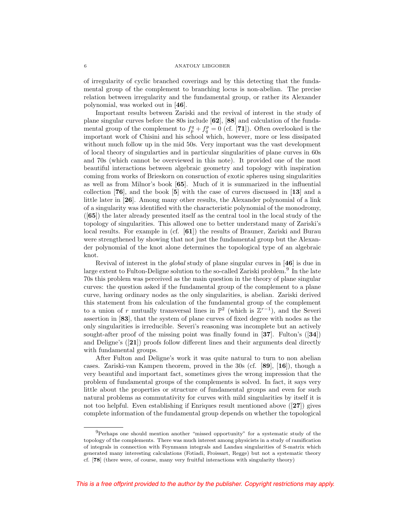of irregularity of cyclic branched coverings and by this detecting that the fundamental group of the complement to branching locus is non-abelian. The precise relation between irregularity and the fundamental group, or rather its Alexander polynomial, was worked out in [**46**].

Important results between Zariski and the revival of interest in the study of plane singular curves before the 80s include [**62**], [**88**] and calculation of the fundamental group of the complement to  $f_p^q + f_q^p = 0$  (cf. [71]). Often overlooked is the important work of Chisini and his school which, however, more or less dissipated without much follow up in the mid 50s. Very important was the vast development of local theory of singularties and in particular singularities of plane curves in 60s and 70s (which cannot be overviewed in this note). It provided one of the most beautiful interactions between algebraic geometry and topology with inspiration coming from works of Brieskorn on consruction of exotic spheres using singularities as well as from Milnor's book [**65**]. Much of it is summarized in the influential collection [**76**], and the book [**5**] with the case of curves discussed in [**13**] and a little later in [**26**]. Among many other results, the Alexander polynomial of a link of a singularity was identified with the characteristic polynomial of the monodromy, ([**65**]) the later already presented itself as the central tool in the local study of the topology of singularities. This allowed one to better understand many of Zariski's local results. For example in (cf. [**61**]) the results of Brauner, Zariski and Burau were strengthened by showing that not just the fundamental group but the Alexander polynomial of the knot alone determines the topological type of an algebraic knot.

Revival of interest in the global study of plane singular curves in [**46**] is due in large extent to Fulton-Deligne solution to the so-called Zariski problem.<sup>9</sup> In the late 70s this problem was perceived as the main question in the theory of plane singular curves: the question asked if the fundamental group of the complement to a plane curve, having ordinary nodes as the only singularities, is abelian. Zariski derived this statement from his calculation of the fundamental group of the complement to a union of r mutually transversal lines in  $\mathbb{P}^2$  (which is  $\mathbb{Z}^{r-1}$ ), and the Severi assertion in [**83**], that the system of plane curves of fixed degree with nodes as the only singularities is irreducible. Severi's reasoning was incomplete but an actively sought-after proof of the missing point was finally found in [**37**]. Fulton's ([**34**]) and Deligne's ([**21**]) proofs follow different lines and their arguments deal directly with fundamental groups.

After Fulton and Deligne's work it was quite natural to turn to non abelian cases. Zariski-van Kampen theorem, proved in the 30s (cf. [**89**], [**16**]), though a very beautiful and important fact, sometimes gives the wrong impression that the problem of fundamental groups of the complements is solved. In fact, it says very little about the properties or structure of fundamental groups and even for such natural problems as commutativity for curves with mild singularities by itself it is not too helpful. Even establishing if Enriques result mentioned above ([**27**]) gives complete information of the fundamental group depends on whether the topological

 $9$ Perhaps one should mention another "missed opportunity" for a systematic study of the topology of the complements. There was much interest among physicists in a study of ramification of integrals in connection with Feynmann integrals and Landau singularities of S-matrix which generated many interesting calculations (Fotiadi, Froissart, Regge) but not a systematic theory cf. [**78**] (there were, of course, many very fruitful interactions with singularity theory)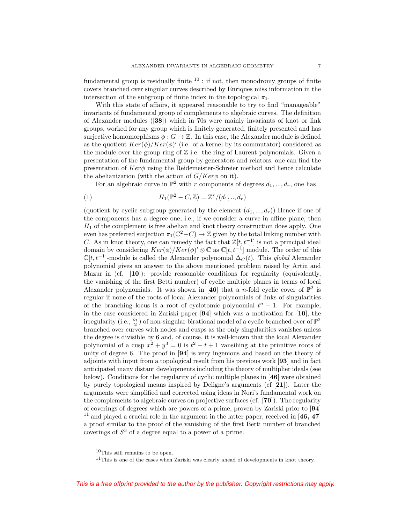fundamental group is residually finite  $10$ : if not, then monodromy groups of finite covers branched over singular curves described by Enriques miss information in the intersection of the subgroup of finite index in the topological  $\pi_1$ .

With this state of affairs, it appeared reasonable to try to find "manageable" invariants of fundamental group of complements to algebraic curves. The definition of Alexander modules ([**38**]) which in 70s were mainly invariants of knot or link groups, worked for any group which is finitely generated, finitely presented and has surjective homomorphisms  $\phi : G \to \mathbb{Z}$ . In this case, the Alexander module is defined as the quotient  $Ker(\phi)/Ker(\phi)'$  (i.e. of a kernel by its commutator) considered as the module over the group ring of  $\mathbb Z$  i.e. the ring of Laurent polynomials. Given a presentation of the fundamental group by generators and relators, one can find the presentation of  $Ker\phi$  using the Reidemeister-Schreier method and hence calculate the abelianization (with the action of  $G/Ker\phi$  on it).

For an algebraic curve in  $\mathbb{P}^2$  with r components of degrees  $d_1, ..., d_r$ , one has

$$
(1) \tH_1(\mathbb{P}^2 - C, \mathbb{Z}) = \mathbb{Z}^r/(d_1, \dots, d_r)
$$

(quotient by cyclic subgroup generated by the element  $(d_1, ..., d_r)$ ) Hence if one of the components has a degree one, i.e., if we consider a curve in affine plane, then  $H_1$  of the complement is free abelian and knot theory construction does apply. One even has preferred surjection  $\pi_1(\mathbb{C}^2-C) \to \mathbb{Z}$  given by the total linking number with C. As in knot theory, one can remedy the fact that  $\mathbb{Z}[t, t^{-1}]$  is not a principal ideal domain by considering  $Ker(\phi)/Ker(\phi)' \otimes \mathbb{C}$  as  $\mathbb{C}[t, t^{-1}]$  module. The order of this  $\mathbb{C}[t, t^{-1}]$ -module is called the Alexander polynomial  $\Delta_C(t)$ . This global Alexander polynomial gives an answer to the above mentioned problem raised by Artin and Mazur in (cf. [**10**]): provide reasonable conditions for regularity (equivalently, the vanishing of the first Betti number) of cyclic multiple planes in terms of local Alexander polynomials. It was shown in [46] that a *n*-fold cyclic cover of  $\mathbb{P}^2$  is regular if none of the roots of local Alexander polynomials of links of singularities of the branching locus is a root of cyclotomic polynomial  $t<sup>n</sup> - 1$ . For example, in the case considered in Zariski paper [**94**] which was a motivation for [**10**], the irregularity (i.e.,  $\frac{b_1}{2}$ ) of non-singular birational model of a cyclic branched over of  $\mathbb{P}^2$ branched over curves with nodes and cusps as the only singularities vanishes unless the degree is divisible by 6 and, of course, it is well-known that the local Alexander polynomial of a cusp  $x^2 + y^3 = 0$  is  $t^2 - t + 1$  vansihing at the primitive roots of unity of degree 6. The proof in [**94**] is very ingenious and based on the theory of adjoints with input from a topological result from his previous work [**93**] and in fact anticipated many distant developments including the theory of multiplier ideals (see below). Conditions for the regularity of cyclic multiple planes in [**46**] were obtained by purely topological means inspired by Deligne's arguments (cf [**21**]). Later the arguments were simplified and corrected using ideas in Nori's fundamental work on the complements to algebraic curves on projective surfaces (cf. [**70**]). The regularity of coverings of degrees which are powers of a prime, proven by Zariski prior to [**94**] <sup>11</sup> and played a crucial role in the argument in the latter paper, received in [**46, 47**] a proof similar to the proof of the vanishing of the first Betti number of branched coverings of  $S<sup>3</sup>$  of a degree equal to a power of a prime.

 $10$ This still remains to be open.

 $11$ This is one of the cases when Zariski was clearly ahead of developments in knot theory.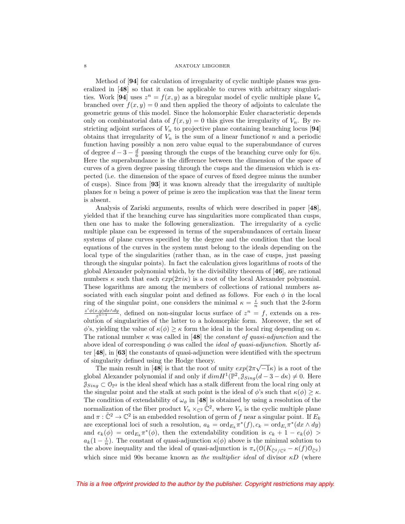Method of [**94**] for calculation of irregularity of cyclic multiple planes was generalized in [**48**] so that it can be applicable to curves with arbitrary singularities. Work [94] uses  $z^n = f(x, y)$  as a biregular model of cyclic multiple plane  $V_n$ branched over  $f(x, y) = 0$  and then applied the theory of adjoints to calculate the geometric genus of this model. Since the holomorphic Euler characteristic depends only on combinatorial data of  $f(x, y) = 0$  this gives the irregularity of  $V_n$ . By restricting adjoint surfaces of  $V_n$  to projective plane containing branching locus [94] obtains that irregularity of  $V_n$  is the sum of a linear function of n and a periodic function having possibly a non zero value equal to the superabundance of curves of degree  $d-3-\frac{d}{6}$  passing through the cusps of the branching curve only for 6|n. Here the superabundance is the difference between the dimension of the space of curves of a given degree passing through the cusps and the dimension which is expected (i.e. the dimension of the space of curves of fixed degree minus the number of cusps). Since from [**93**] it was known already that the irregularity of multiple planes for  $n$  being a power of prime is zero the implication was that the linear term is absent.

Analysis of Zariski arguments, results of which were described in paper [**48**], yielded that if the branching curve has singularities more complicated than cusps, then one has to make the following generalization. The irregularity of a cyclic multiple plane can be expressed in terms of the superabundances of certain linear systems of plane curves specified by the degree and the condition that the local equations of the curves in the system must belong to the ideals depending on the local type of the singularities (rather than, as in the case of cusps, just passing through the singular points). In fact the calculation gives logarithms of roots of the global Alexander polynomial which, by the divisibility theorem of [**46**], are rational numbers  $\kappa$  such that each  $exp(2\pi i\kappa)$  is a root of the local Alexander polynomial. These logarithms are among the members of collections of rational numbers associated with each singular point and defined as follows. For each  $\phi$  in the local ring of the singular point, one considers the minimal  $\kappa = \frac{i}{n}$  such that the 2-form  $\frac{z^i\phi(x,y)dx\wedge dy}{z^{n-1}}$ , defined on non-singular locus surface of  $z^n = f$ , extends on a resolution of singularities of the latter to a holomorphic form. Moreover, the set of  $\phi$ 's, yielding the value of  $\kappa(\phi) \geq \kappa$  form the ideal in the local ring depending on  $\kappa$ . The rational number  $\kappa$  was called in [48] the *constant of quasi-adjunction* and the above ideal of corresponding  $\phi$  was called the *ideal of quasi-adjunction*. Shortly after [**48**], in [**63**] the constants of quasi-adjunction were identified with the spectrum of singularity defined using the Hodge theory.

ngularity defined using the rodge theory.<br>The main result in [48] is that the root of unity  $exp(2\pi\sqrt{-1}\kappa)$  is a root of the global Alexander polynomial if and only if  $dim H^1(\mathbb{P}^2, \mathcal{J}_{Sing}(d-3 - d\kappa) \neq 0$ . Here  $\mathcal{J}_{Sing} \subset \mathcal{O}_{\mathbb{P}^2}$  is the ideal sheaf which has a stalk different from the local ring only at the singular point and the stalk at such point is the ideal of  $\phi$ 's such that  $\kappa(\phi) \geq \kappa$ . The condition of extendability of  $\omega_{\phi}$  in [48] is obtained by using a resolution of the normalization of the fiber product  $V_n \times_{\mathbb{C}^2} \tilde{\mathbb{C}}^2$ , where  $V_n$  is the cyclic multiple plane and  $\pi : \tilde{\mathbb{C}}^2 \to \mathbb{C}^2$  is an embedded resolution of germ of f near a singular point. If  $E_k$ are exceptional loci of such a resolution,  $a_k = \text{ord}_{E_k} \pi^*(f), c_k = \text{ord}_{E_i} \pi^*(dx \wedge dy)$ and  $e_k(\phi) = \text{ord}_{E_k} \pi^*(\phi)$ , then the extendability condition is  $c_k + 1 - e_k(\phi) >$  $a_k(1-\frac{i}{n})$ . The constant of quasi-adjunction  $\kappa(\phi)$  above is the minimal solution to the above inequality and the ideal of quasi-adjunction is  $\pi_*(\mathfrak{O}(K_{\tilde{C}^2/\mathbb{C}^2} - \kappa(f)\mathfrak{O}_{\tilde{C}^2})$ which since mid 90s became known as the multiplier ideal of divisor  $\kappa D$  (where

8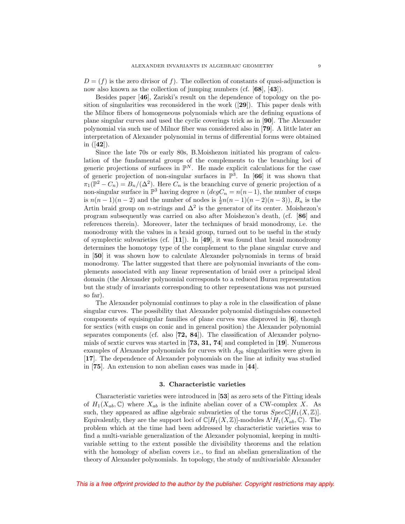$D = (f)$  is the zero divisor of f). The collection of constants of quasi-adjunction is now also known as the collection of jumping numbers (cf. [**68**], [**43**]).

Besides paper [**46**], Zariski's result on the dependence of topology on the position of singularities was reconsidered in the work ([**29**]). This paper deals with the Milnor fibers of homogeneous polynomials which are the defining equations of plane singular curves and used the cyclic coverings trick as in [**90**]. The Alexander polynomial via such use of Milnor fiber was considered also in [**79**]. A little later an interpretation of Alexander polynomial in terms of differential forms were obtained in ([**42**]).

Since the late 70s or early 80s, B.Moishezon initiated his program of calculation of the fundamental groups of the complements to the branching loci of generic projections of surfaces in  $\mathbb{P}^N$ . He made explicit calculations for the case of generic projection of non-singular surfaces in  $\mathbb{P}^3$ . In [66] it was shown that  $\pi_1(\mathbb{P}^2 - C_n) = B_n/(\Delta^2)$ . Here  $C_n$  is the branching curve of generic projection of a non-singular surface in  $\mathbb{P}^3$  having degree n (deg $C_n = n(n-1)$ , the number of cusps is  $n(n-1)(n-2)$  and the number of nodes is  $\frac{1}{2}n(n-1)(n-2)(n-3)$ ,  $B_n$  is the Artin braid group on *n*-strings and  $\Delta^2$  is the generator of its center. Moishezon's program subsequently was carried on also after Moishezon's death, (cf. [**86**] and references therein). Moreover, later the techniques of braid monodromy, i.e. the monodromy with the values in a braid group, turned out to be useful in the study of symplectic subvarieties (cf. [**11**]). In [**49**], it was found that braid monodromy determines the homotopy type of the complement to the plane singular curve and in [**50**] it was shown how to calculate Alexander polynomials in terms of braid monodromy. The latter suggested that there are polynomial invariants of the complements associated with any linear representation of braid over a principal ideal domain (the Alexander polynomial corresponds to a reduced Burau representation but the study of invariants corresponding to other representations was not pursued so far).

The Alexander polynomial continues to play a role in the classification of plane singular curves. The possibility that Alexander polynomial distinguishes connected components of equisingular families of plane curves was disproved in [**6**], though for sextics (with cusps on conic and in general position) the Alexander polynomial separates components (cf. also [**72, 84**]). The classification of Alexander polynomials of sextic curves was started in [**73, 31, 74**] and completed in [**19**]. Numerous examples of Alexander polynomials for curves with  $A_{2k}$  singularities were given in [**17**]. The dependence of Alexander polynomials on the line at infinity was studied in [**75**]. An extension to non abelian cases was made in [**44**].

### **3. Characteristic varieties**

Characteristic varieties were introduced in [**53**] as zero sets of the Fitting ideals of  $H_1(X_{ab}, \mathbb{C})$  where  $X_{ab}$  is the infinite abelian cover of a CW-complex X. As such, they appeared as affine algebraic subvarieties of the torus  $Spec\mathbb{C}[H_1(X,\mathbb{Z})]$ . Equivalently, they are the support loci of  $\mathbb{C}[H_1(X,\mathbb{Z})]$ -modules  $\Lambda^i H_1(X_{ab},\mathbb{C})$ . The problem which at the time had been addressed by characteristic varieties was to find a multi-variable generalization of the Alexander polynomial, keeping in multivariable setting to the extent possible the divisibility theorems and the relation with the homology of abelian covers i.e., to find an abelian generalization of the theory of Alexander polynomials. In topology, the study of multivariable Alexander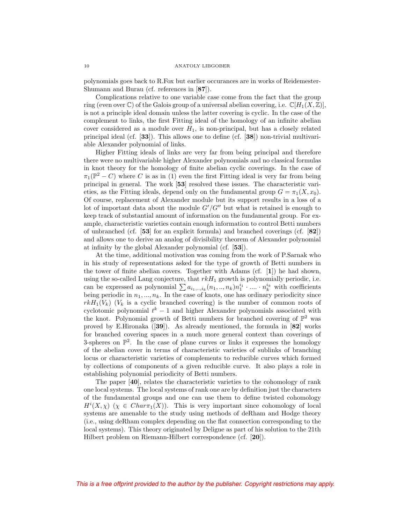polynomials goes back to R.Fox but earlier occurances are in works of Reidemester-Shumann and Burau (cf. references in [**87**]).

Complications relative to one variable case come from the fact that the group ring (even over  $\mathbb C$ ) of the Galois group of a universal abelian covering, i.e.  $\mathbb C[H_1(X,\mathbb Z)].$ is not a principle ideal domain unless the latter covering is cyclic. In the case of the complement to links, the first Fitting ideal of the homology of an infinite abelian cover considered as a module over  $H_1$ , is non-principal, but has a closely related principal ideal (cf. [**33**]). This allows one to define (cf. [**38**]) non-trivial multivariable Alexander polynomial of links.

Higher Fitting ideals of links are very far from being principal and therefore there were no multivariable higher Alexander polynomials and no classical formulas in knot theory for the homology of finite abelian cyclic coverings. In the case of  $\pi_1(\mathbb{P}^2 - C)$  where C is as in (1) even the first Fitting ideal is very far from being principal in general. The work [**53**] resolved these issues. The characteristic varieties, as the Fitting ideals, depend only on the fundamental group  $G = \pi_1(X, x_0)$ . Of course, replacement of Alexander module but its support results in a loss of a lot of important data about the module  $G'/G''$  but what is retained is enough to keep track of substantial amount of information on the fundamental group. For example, characteristic varieties contain enough information to control Betti numbers of unbranched (cf. [**53**] for an explicit formula) and branched coverings (cf. [**82**]) and allows one to derive an analog of divisibility theorem of Alexander polynomial at infinity by the global Alexander polynomial (cf. [**53**]).

At the time, additional motivation was coming from the work of P.Sarnak who in his study of representations asked for the type of growth of Betti numbers in the tower of finite abelian covers. Together with Adams (cf. [**1**]) he had shown, using the so-called Lang conjecture, that  $rkH_1$  growth is polynomially periodic, i.e. can be expressed as polynomial  $\sum a_{i_1,..,i_k}(n_1,..,n_k)n_1^{i_1} \cdot \ldots \cdot n_k^{i_k}$  with coefficients being periodic in  $n_1, ..., n_k$ . In the case of knots, one has ordinary periodicity since  $rkH_1(V_k)$  ( $V_k$  is a cyclic branched covering) is the number of common roots of cyclotomic polynomial  $t^k - 1$  and higher Alexander polynomials associated with the knot. Polynomial growth of Betti numbers for branched covering of  $\mathbb{P}^2$  was proved by E.Hironaka ([**39**]). As already mentioned, the formula in [**82**] works for branched covering spaces in a much more general context than coverings of 3-spheres on  $\mathbb{P}^2$ . In the case of plane curves or links it expresses the homology of the abelian cover in terms of characteristic varieties of sublinks of branching locus or characteristic varieties of complements to reducible curves which formed by collections of components of a given reducible curve. It also plays a role in establishing polynomial periodicity of Betti numbers.

The paper [**40**], relates the characteristic varieties to the cohomology of rank one local systems. The local systems of rank one are by definition just the characters of the fundamental groups and one can use them to define twisted cohomology  $H^{i}(X,\chi)$   $(\chi \in Char_{\mathcal{I}}(X))$ . This is very important since cohomology of local systems are amenable to the study using methods of deRham and Hodge theory (i.e., using deRham complex depending on the flat connection corresponding to the local systems). This theory originated by Deligne as part of his solution to the 21th Hilbert problem on Riemann-Hilbert correspondence (cf. [**20**]).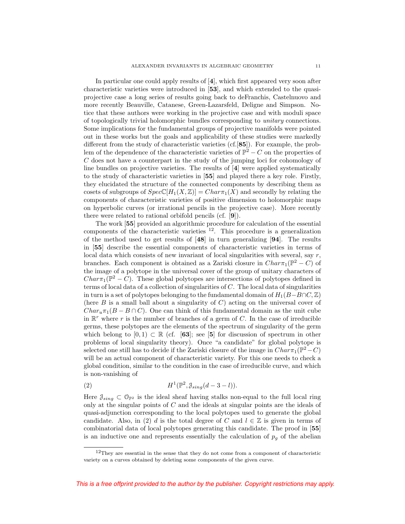In particular one could apply results of [**4**], which first appeared very soon after characteristic varieties were introduced in [**53**], and which extended to the quasiprojective case a long series of results going back to deFranchis, Castelnuovo and more recently Beauville, Catanese, Green-Lazarsfeld, Deligne and Simpson. Notice that these authors were working in the projective case and with moduli space of topologically trivial holomorphic bundles corresponding to unitary connections. Some implications for the fundamental groups of projective manifolds were pointed out in these works but the goals and applicability of these studies were markedly different from the study of characteristic varieties (cf.[**85**]). For example, the problem of the dependence of the characteristic varieties of  $\mathbb{P}^2 - C$  on the properties of C does not have a counterpart in the study of the jumping loci for cohomology of line bundles on projective varieties. The results of [**4**] were applied systematically to the study of characteristic varieties in [**55**] and played there a key role. Firstly, they elucidated the structure of the connected components by describing them as cosets of subgroups of  $Spec\mathbb{C}[H_1(X,\mathbb{Z})]=Char\pi_1(X)$  and secondly by relating the components of characteristic varieties of positive dimension to holomorphic maps on hyperbolic curves (or irrational pencils in the projective case). More recently there were related to rational orbifold pencils (cf. [**9**]).

The work [**55**] provided an algorithmic procedure for calculation of the essential components of the characteristic varieties  $^{12}$ . This procedure is a generalization of the method used to get results of [**48**] in turn generalizing [**94**]. The results in [**55**] describe the essential components of characteristic varieties in terms of local data which consists of new invariant of local singularities with several, say  $r$ , branches. Each component is obtained as a Zariski closure in  $Char_{\mathcal{I}}(\mathbb{P}^2 - C)$  of the image of a polytope in the universal cover of the group of unitary characters of  $Char\pi_1(\mathbb{P}^2 - C)$ . These global polytopes are intersections of polytopes defined in terms of local data of a collection of singularities of  $C$ . The local data of singularities in turn is a set of polytopes belonging to the fundamental domain of  $H_1(B-B\cap C, \mathbb{Z})$ (here  $B$  is a small ball about a singularity of  $C$ ) acting on the universal cover of  $Char_{u}\pi_1(B - B \cap C)$ . One can think of this fundamental domain as the unit cube in  $\mathbb{R}^r$  where r is the number of branches of a germ of C. In the case of irreducible germs, these polytopes are the elements of the spectrum of singularity of the germ which belong to  $[0,1) \subset \mathbb{R}$  (cf.  $[63]$ ; see [5] for discussion of spectrum in other problems of local singularity theory). Once "a candidate" for global polytope is selected one still has to decide if the Zariski closure of the image in  $Char_{\tau_1}(\mathbb{P}^2 - C)$ will be an actual component of characteristic variety. For this one needs to check a global condition, similar to the condition in the case of irreducible curve, and which is non-vanishing of

$$
(2) \tH1(\mathbb{P}2, \mathcal{J}_{sing}(d-3-l)).
$$

Here  $\mathcal{J}_{sing} \subset \mathcal{O}_{\mathbb{P}^2}$  is the ideal sheaf having stalks non-equal to the full local ring only at the singular points of C and the ideals at singular points are the ideals of quasi-adjunction corresponding to the local polytopes used to generate the global candidate. Also, in (2) d is the total degree of C and  $l \in \mathbb{Z}$  is given in terms of combinatorial data of local polytopes generating this candidate. The proof in [**55**] is an inductive one and represents essentially the calculation of  $p<sub>g</sub>$  of the abelian

 $12$ They are essential in the sense that they do not come from a component of characteristic variety on a curves obtained by deleting some components of the given curve.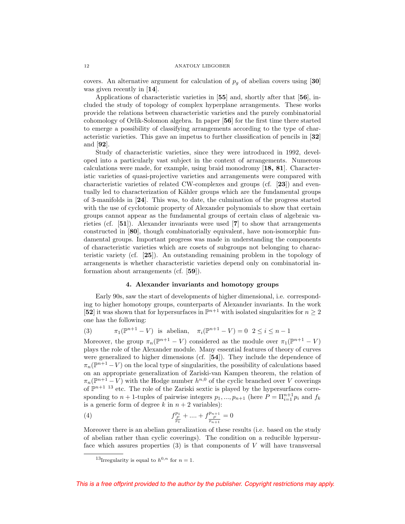covers. An alternative argument for calculation of  $p<sub>g</sub>$  of abelian covers using [30] was given recently in [**14**].

Applications of characteristic varieties in [**55**] and, shortly after that [**56**], included the study of topology of complex hyperplane arrangements. These works provide the relations between characteristic varieties and the purely combinatorial cohomology of Orlik-Solomon algebra. In paper [**56**] for the first time there started to emerge a possibility of classifying arrangements according to the type of characteristic varieties. This gave an impetus to further classification of pencils in [**32**] and [**92**].

Study of characteristic varieties, since they were introduced in 1992, developed into a particularly vast subject in the context of arrangements. Numerous calculations were made, for example, using braid monodromy [**18, 81**]. Characteristic varieties of quasi-projective varieties and arrangements were compared with characteristic varieties of related CW-complexes and groups (cf. [**23**]) and eventually led to characterization of Kähler groups which are the fundamental groups of 3-manifolds in [**24**]. This was, to date, the culmination of the progress started with the use of cyclotomic property of Alexander polynomials to show that certain groups cannot appear as the fundamental groups of certain class of algebraic varieties (cf. [**51**]). Alexander invariants were used [**7**] to show that arrangements constructed in [**80**], though combinatorially equivalent, have non-isomorphic fundamental groups. Important progress was made in understanding the components of characteristic varieties which are cosets of subgroups not belonging to characteristic variety (cf. [**25**]). An outstanding remaining problem in the topology of arrangenents is whether characteristic varieties depend only on combinatorial information about arrangements (cf. [**59**]).

# **4. Alexander invariants and homotopy groups**

Early 90s, saw the start of developments of higher dimensional, i.e. corresponding to higher homotopy groups, counterparts of Alexander invariants. In the work [**52**] it was shown that for hypersurfaces in  $\mathbb{P}^{n+1}$  with isolated singularities for  $n \geq 2$ one has the following:

(3) 
$$
\pi_1(\mathbb{P}^{n+1} - V)
$$
 is abelian,  $\pi_i(\mathbb{P}^{n+1} - V) = 0$   $2 \le i \le n-1$ 

Moreover, the group  $\pi_n(\mathbb{P}^{n+1} - V)$  considered as the module over  $\pi_1(\mathbb{P}^{n+1} - V)$ plays the role of the Alexander module. Many essential features of theory of curves were generalized to higher dimensions (cf. [**54**]). They include the dependence of  $\pi_n(\mathbb{P}^{n+1}-V)$  on the local type of singularities, the possibility of calculations based on an appropriate generalization of Zariski-van Kampen theorem, the relation of  $\pi_n(\mathbb{P}^{n+1} - V)$  with the Hodge number  $h^{n,0}$  of the cyclic branched over V coverings of  $\mathbb{P}^{n+1}$  <sup>13</sup> etc. The role of the Zariski sextic is played by the hypersurfaces corresponding to  $n+1$ -tuples of pairwise integers  $p_1, ..., p_{n+1}$  (here  $P = \prod_{i=1}^{n+1} p_i$  and  $f_k$ is a generic form of degree k in  $n + 2$  variables):

(4) 
$$
f_{\frac{p}{p_1}}^{p_1} + \dots + f_{\frac{p_{n+1}}{p_{n+1}}}^{p_{n+1}} = 0
$$

Moreover there is an abelian generalization of these results (i.e. based on the study of abelian rather than cyclic coverings). The condition on a reducible hypersurface which assures properties  $(3)$  is that components of V will have transversal

<sup>&</sup>lt;sup>13</sup>Irregularity is equal to  $h^{0,n}$  for  $n = 1$ .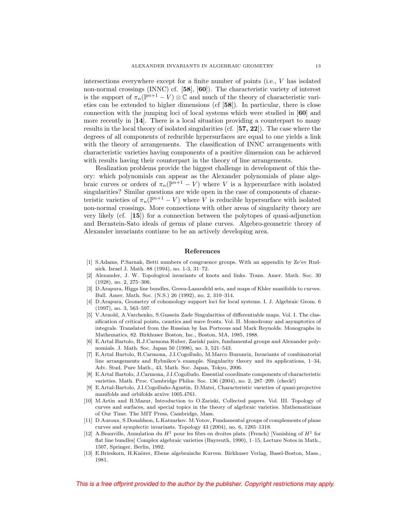intersections everywhere except for a finite number of points (i.e., V has isolated non-normal crossings (INNC) cf. [**58**], [**60**]). The characteristic variety of interest is the support of  $\pi_n(\mathbb{P}^{n+1} - V) \otimes \mathbb{C}$  and much of the theory of characteristic varieties can be extended to higher dimensions (cf [**58**]). In particular, there is close connection with the jumping loci of local systems which were studied in [**60**] and more recently in [**14**]. There is a local situation providing a counterpart to many results in the local theory of isolated singularities (cf. [**57, 22**]). The case where the degrees of all components of reducible hypersurfaces are equal to one yields a link with the theory of arrangements. The classification of INNC arrangements with characteristic varieties having components of a positive dimension can be achieved with results having their counterpart in the theory of line arrangements.

Realization problems provide the biggest challenge in development of this theory: which polynomials can appear as the Alexander polynomials of plane algebraic curves or orders of  $\pi_n(\mathbb{P}^{n+1} - V)$  where V is a hypersurface with isolated singularities? Similar questions are wide open in the case of components of characteristic varieties of  $\pi_n(\mathbb{P}^{n+1} - V)$  where V is reducible hypersurface with isolated non-normal crossings. More connections with other areas of singularity theory are very likely (cf. [**15**]) for a connection between the polytopes of quasi-adjunction and Bernstein-Sato ideals of germs of plane curves. Algebro-geometric theory of Alexander invariants continue to be an actively developing area.

### **References**

- [1] S.Adams, P.Sarnak, Betti numbers of congruence groups. With an appendix by Ze'ev Rudnick. Israel J. Math. 88 (1994), no. 1-3, 31–72.
- [2] Alexander, J. W. Topological invariants of knots and links. Trans. Amer. Math. Soc. 30 (1928), no. 2, 275–306.
- [3] D.Arapura, Higgs line bundles, Green-Lazarsfeld sets, and maps of Khler manifolds to curves. Bull. Amer. Math. Soc. (N.S.) 26 (1992), no. 2, 310–314.
- [4] D.Arapura, Geometry of cohomology support loci for local systems. I. J. Algebraic Geom. 6 (1997), no. 3, 563–597.
- [5] V.Arnold, A.Varchenko, S.Gussein Zade Singularities of differentiable maps. Vol. I. The classification of critical points, caustics and wave fronts. Vol. II. Monodromy and asymptotics of integrals. Translated from the Russian by Ian Porteous and Mark Reynolds. Monographs in Mathematics, 82. Birkhuser Boston, Inc., Boston, MA, 1985, 1988.
- [6] E.Artal Bartolo, R.J.Carmona Ruber, Zariski pairs, fundamental groups and Alexander polynomials. J. Math. Soc. Japan 50 (1998), no. 3, 521–543.
- [7] E.Artal Bartolo, R.Carmona, J.I.Cogolludo, M.Marco Buzunriz, Invariants of combinatorial line arrangements and Rybnikov's example. Singularity theory and its applications, 1–34, Adv. Stud. Pure Math., 43, Math. Soc. Japan, Tokyo, 2006.
- [8] E.Artal Bartolo, J.Carmona, J.I.Cogolludo. Essential coordinate components of characteristic varieties. Math. Proc. Cambridge Philos. Soc. 136 (2004), no. 2, 287–299. (check!)
- [9] E.Artal-Bartolo, J.I.Cogolludo-Agustin, D.Matei, Characteristic varieties of quasi-projective manifolds and orbifolds arxive 1005.4761.
- [10] M.Artin and B.Mazur, Introduction to O.Zariski, Collected papers. Vol. III. Topology of curves and surfaces, and special topics in the theory of algebraic varieties. Mathematicians of Our Time. The MIT Press, Cambridge, Mass.
- [11] D.Auroux, S.Donaldson, L.Katzarkov. M.Yotov, Fundamental groups of complements of plane curves and symplectic invariants. Topology 43 (2004), no. 6, 1285–1318.
- [12] A.Beauville, Annulation du  $H^1$  pour les fibrs en droites plats. (French) [Vanishing of  $H^1$  for flat line bundles] Complex algebraic varieties (Bayreuth, 1990), 1–15, Lecture Notes in Math., 1507, Springer, Berlin, 1992.
- [13] E.Brieskorn, H.Knörer, Ebene algebraische Kurven. Birkhuser Verlag, Basel-Boston, Mass., 1981.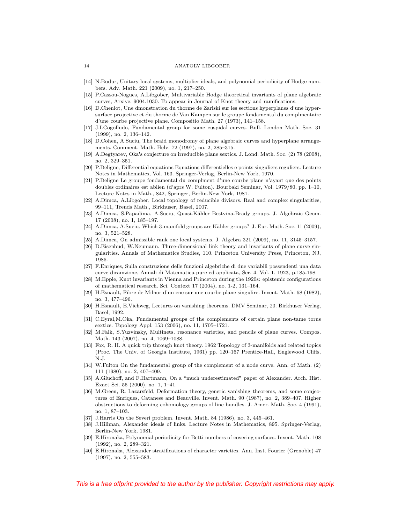- [14] N.Budur, Unitary local systems, multiplier ideals, and polynomial periodicity of Hodge numbers. Adv. Math. 221 (2009), no. 1, 217–250.
- [15] P.Cassou-Nogues, A.Libgober, Multivariable Hodge theoretical invariants of plane algebraic curves, Arxive. 9004.1030. To appear in Journal of Knot theory and ramifications.
- [16] D.Cheniot, Une dmonstration du thorme de Zariski sur les sections hyperplanes d'une hypersurface projective et du thorme de Van Kampen sur le groupe fondamental du complmentaire d'une courbe projective plane. Compositio Math. 27 (1973), 141–158.
- [17] J.I.Cogolludo, Fundamental group for some cuspidal curves. Bull. London Math. Soc. 31 (1999), no. 2, 136–142.
- [18] D.Cohen, A.Suciu, The braid monodromy of plane algebraic curves and hyperplane arrangements. Comment. Math. Helv. 72 (1997), no. 2, 285–315.
- [19] A.Degtyarev, Oka's conjecture on irreducible plane sextics. J. Lond. Math. Soc. (2) 78 (2008), no. 2, 329–351.
- [20] P.Deligne, Differential equations Equations differentielles e points singuliers reguliers. Lecture Notes in Mathematics, Vol. 163. Springer-Verlag, Berlin-New York, 1970.
- [21] P.Deligne Le groupe fondamental du complment d'une courbe plane n'ayant que des points doubles ordinaires est ablien (d'aprs W. Fulton). Bourbaki Seminar, Vol. 1979/80, pp. 1–10, Lecture Notes in Math., 842, Springer, Berlin-New York, 1981.
- [22] A.Dimca, A.Libgober, Local topology of reducible divisors. Real and complex singularities, 99–111, Trends Math., Birkhuser, Basel, 2007.
- [23] A.Dimca, S.Papadima, A.Suciu, Quasi-Kähler Bestvina-Brady groups. J. Algebraic Geom. 17 (2008), no. 1, 185–197.
- [24] A.Dimca, A.Suciu, Which 3-manifold groups are Kähler groups? J. Eur. Math. Soc. 11 (2009), no. 3, 521–528.
- [25] A.Dimca, On admissible rank one local systems. J. Algebra 321 (2009), no. 11, 3145–3157.
- [26] D.Eisenbud, W.Neumann. Three-dimensional link theory and invariants of plane curve singularities. Annals of Mathematics Studies, 110. Princeton University Press, Princeton, NJ, 1985.
- [27] F.Enriques, Sulla construzione delle funzioni algebriche di due variabili possendenti una data curve diramzione, Annali di Matematica pure ed applicata, Ser. 4, Vol. 1, 1923, p.185-198.
- [28] M.Epple, Knot invariants in Vienna and Princeton during the 1920s: epistemic configurations of mathematical research. Sci. Context 17 (2004), no. 1-2, 131–164.
- [29] H.Esnault, Fibre de Milnor d'un cne sur une courbe plane singulire. Invent. Math. 68 (1982), no. 3, 477–496.
- [30] H.Esnault, E.Viehweg, Lectures on vanishing theorems. DMV Seminar, 20. Birkhuser Verlag, Basel, 1992.
- [31] C.Eyral,M.Oka, Fundamental groups of the complements of certain plane non-tame torus sextics. Topology Appl. 153 (2006), no. 11, 1705–1721.
- [32] M.Falk, S.Yuzvinsky, Multinets, resonance varieties, and pencils of plane curves. Compos. Math. 143 (2007), no. 4, 1069–1088.
- [33] Fox, R. H. A quick trip through knot theory. 1962 Topology of 3-manifolds and related topics (Proc. The Univ. of Georgia Institute, 1961) pp. 120–167 Prentice-Hall, Englewood Cliffs, N.J.
- [34] W.Fulton On the fundamental group of the complement of a node curve. Ann. of Math. (2) 111 (1980), no. 2, 407–409.
- [35] A.Gluchoff, and F.Hartmann, On a "much underestimated" paper of Alexander. Arch. Hist. Exact Sci. 55 (2000), no. 1, 1–41.
- [36] M.Green, R. Lazarsfeld, Deformation theory, generic vanishing theorems, and some conjectures of Enriques, Catanese and Beauville. Invent. Math. 90 (1987), no. 2, 389–407. Higher obstructions to deforming cohomology groups of line bundles. J. Amer. Math. Soc. 4 (1991), no. 1, 87–103.
- [37] J.Harris On the Severi problem. Invent. Math. 84 (1986), no. 3, 445–461.
- [38] J.Hillman, Alexander ideals of links. Lecture Notes in Mathematics, 895. Springer-Verlag, Berlin-New York, 1981.
- [39] E.Hironaka, Polynomial periodicity for Betti numbers of covering surfaces. Invent. Math. 108 (1992), no. 2, 289–321.
- [40] E.Hironaka, Alexander stratifications of character varieties. Ann. Inst. Fourier (Grenoble) 47 (1997), no. 2, 555–583.

This is a free offprint provided to the author by the publisher. Copyright restrictions may apply.

14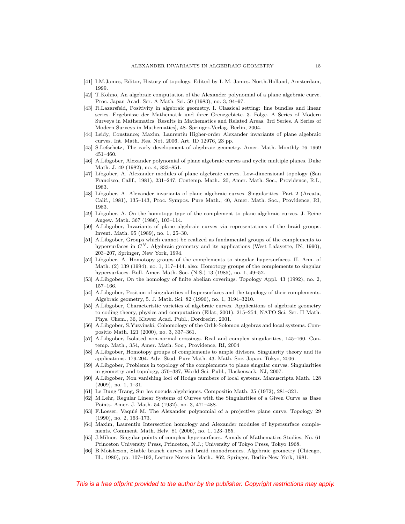- [41] I.M.James, Editor, History of topology. Edited by I. M. James. North-Holland, Amsterdam, 1999.
- [42] T.Kohno, An algebraic computation of the Alexander polynomial of a plane algebraic curve. Proc. Japan Acad. Ser. A Math. Sci. 59 (1983), no. 3, 94–97.
- [43] R.Lazarsfeld, Positivity in algebraic geometry. I. Classical setting: line bundles and linear series. Ergebnisse der Mathematik und ihrer Grenzgebiete. 3. Folge. A Series of Modern Surveys in Mathematics [Results in Mathematics and Related Areas. 3rd Series. A Series of Modern Surveys in Mathematics], 48. Springer-Verlag, Berlin, 2004.
- [44] Leidy, Constance; Maxim, Laurentiu Higher-order Alexander invariants of plane algebraic curves. Int. Math. Res. Not. 2006, Art. ID 12976, 23 pp.
- [45] S.Lefschetz, The early development of algebraic geometry. Amer. Math. Monthly 76 1969 451–460.
- [46] A.Libgober, Alexander polynomial of plane algebraic curves and cyclic multiple planes. Duke Math. J. 49 (1982), no. 4, 833–851.
- [47] Libgober, A. Alexander modules of plane algebraic curves. Low-dimensional topology (San Francisco, Calif., 1981), 231–247, Contemp. Math., 20, Amer. Math. Soc., Providence, R.I., 1983.
- [48] Libgober, A. Alexander invariants of plane algebraic curves. Singularities, Part 2 (Arcata, Calif., 1981), 135–143, Proc. Sympos. Pure Math., 40, Amer. Math. Soc., Providence, RI, 1983.
- [49] Libgober, A. On the homotopy type of the complement to plane algebraic curves. J. Reine Angew. Math. 367 (1986), 103–114.
- [50] A.Libgober, Invariants of plane algebraic curves via representations of the braid groups. Invent. Math. 95 (1989), no. 1, 25–30.
- [51] A.Libgober, Groups which cannot be realized as fundamental groups of the complements to hypersurfaces in  $C^N$ . Algebraic geometry and its applications (West Lafayette, IN, 1990), 203–207, Springer, New York, 1994.
- [52] Libgober, A. Homotopy groups of the complements to singular hypersurfaces. II. Ann. of Math. (2) 139 (1994), no. 1, 117–144. also: Homotopy groups of the complements to singular hypersurfaces. Bull. Amer. Math. Soc. (N.S.) 13 (1985), no. 1, 49–52.
- [53] A.Libgober, On the homology of finite abelian coverings. Topology Appl. 43 (1992), no. 2, 157–166.
- [54] A.Libgober, Position of singularities of hypersurfaces and the topology of their complements. Algebraic geometry, 5. J. Math. Sci. 82 (1996), no. 1, 3194–3210.
- [55] A.Libgober, Characteristic varieties of algebraic curves. Applications of algebraic geometry to coding theory, physics and computation (Eilat, 2001), 215–254, NATO Sci. Ser. II Math. Phys. Chem., 36, Kluwer Acad. Publ., Dordrecht, 2001.
- [56] A.Libgober, S.Yuzvinski, Cohomology of the Orlik-Solomon algebras and local systems. Compositio Math. 121 (2000), no. 3, 337–361.
- [57] A.Libgober, Isolated non-normal crossings. Real and complex singularities, 145–160, Contemp. Math., 354, Amer. Math. Soc., Providence, RI, 2004
- [58] A.Libgober, Homotopy groups of complements to ample divisors. Singularity theory and its applications. 179-204. Adv. Stud. Pure Math. 43. Math. Soc. Japan. Tokyo, 2006.
- [59] A.Libgober, Problems in topology of the complements to plane singular curves. Singularities in geometry and topology, 370–387, World Sci. Publ., Hackensack, NJ, 2007.
- [60] A.Libgober, Non vanishing loci of Hodge numbers of local systems. Manuscripta Math. 128 (2009), no. 1, 1–31.
- [61] Le Dung Trang, Sur les noeuds algebriques. Compositio Math. 25 (1972), 281–321.
- [62] M.Lehr, Regular Linear Systems of Curves with the Singularities of a Given Curve as Base Points. Amer. J. Math. 54 (1932), no. 3, 471–488.
- [63] F.Loeser, Vaquié M. The Alexander polynomial of a projective plane curve. Topology 29 (1990), no. 2, 163–173.
- [64] Maxim, Laurentiu Intersection homology and Alexander modules of hypersurface complements. Comment. Math. Helv. 81 (2006), no. 1, 123–155.
- [65] J.Milnor, Singular points of complex hypersurfaces. Annals of Mathematics Studies, No. 61 Princeton University Press, Princeton, N.J.; University of Tokyo Press, Tokyo 1968.
- [66] B.Moishezon, Stable branch curves and braid monodromies. Algebraic geometry (Chicago, Ill., 1980), pp. 107–192, Lecture Notes in Math., 862, Springer, Berlin-New York, 1981.

This is a free offprint provided to the author by the publisher. Copyright restrictions may apply.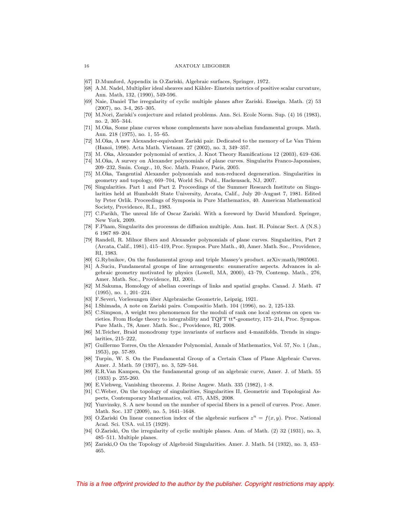- [67] D.Mumford, Appendix in O.Zariski, Algebraic surfaces, Springer, 1972.
- [68] A.M. Nadel, Multiplier ideal sheaves and Kähler- Einstein metrics of positive scalar curvature, Ann. Math, 132, (1990), 549-596.
- [69] Naie, Daniel The irregularity of cyclic multiple planes after Zariski. Enseign. Math. (2) 53 (2007), no. 3-4, 265–305.
- [70] M.Nori, Zariski's conjecture and related problems. Ann. Sci. Ecole Norm. Sup. (4) 16 (1983), no. 2, 305–344.
- [71] M.Oka, Some plane curves whose complements have non-abelian fundamental groups. Math. Ann. 218 (1975), no. 1, 55–65.
- [72] M.Oka, A new Alexander-equivalent Zariski pair. Dedicated to the memory of Le Van Thiem (Hanoi, 1998). Acta Math. Vietnam. 27 (2002), no. 3, 349–357.
- [73] M. Oka, Alexander polynomial of sextics, J. Knot Theory Ramifications 12 (2003), 619–636.
- [74] M.Oka, A survey on Alexander polynomials of plane curves. Singularits Franco-Japonaises, 209–232, Smin. Congr., 10, Soc. Math. France, Paris, 2005.
- [75] M.Oka, Tangential Alexander polynomials and non-reduced degeneration. Singularities in geometry and topology, 669–704, World Sci. Publ., Hackensack, NJ, 2007.
- [76] Singularities. Part 1 and Part 2. Proceedings of the Summer Research Institute on Singularities held at Humboldt State University, Arcata, Calif., July 20–August 7, 1981. Edited by Peter Orlik. Proceedings of Symposia in Pure Mathematics, 40. American Mathematical Society, Providence, R.I., 1983.
- [77] C.Parikh, The unreal life of Oscar Zariski. With a foreword by David Mumford. Springer, New York, 2009.
- [78] F.Pham, Singularits des processus de diffusion multiple. Ann. Inst. H. Poincar Sect. A (N.S.) 6 1967 89–204.
- [79] Randell, R. Milnor fibers and Alexander polynomials of plane curves. Singularities, Part 2 (Arcata, Calif., 1981), 415–419, Proc. Sympos. Pure Math., 40, Amer. Math. Soc., Providence, RI, 1983.
- [80] G.Rybnikov, On the fundamental group and triple Massey's product. arXiv:math/9805061.
- [81] A.Suciu, Fundamental groups of line arrangements: enumerative aspects. Advances in algebraic geometry motivated by physics (Lowell, MA, 2000), 43–79, Contemp. Math., 276, Amer. Math. Soc., Providence, RI, 2001.
- [82] M.Sakuma, Homology of abelian coverings of links and spatial graphs. Canad. J. Math. 47 (1995), no. 1, 201–224.
- [83] F.Severi, Vorlesungen über Algebraische Geometrie, Leipzig, 1921.
- [84] I.Shimada, A note on Zariski pairs. Compositio Math. 104 (1996), no. 2, 125-133.
- [85] C.Simpson, A weight two phenomenon for the moduli of rank one local systems on open varieties. From Hodge theory to integrability and TQFT tt\*-geometry, 175–214, Proc. Sympos. Pure Math., 78, Amer. Math. Soc., Providence, RI, 2008.
- [86] M.Teicher, Braid monodromy type invariants of surfaces and 4-manifolds. Trends in singularities, 215–222,
- [87] Guillermo Torres, On the Alexander Polynomial, Annals of Mathematics, Vol. 57, No. 1 (Jan., 1953), pp. 57-89.
- [88] Turpin, W. S. On the Fundamental Group of a Certain Class of Plane Algebraic Curves. Amer. J. Math. 59 (1937), no. 3, 529–544.
- [89] E.R.Van Kampen, On the fundamental group of an algebraic curve, Amer. J. of Math. 55 (1933) p. 255-260.
- [90] E.Viehweg, Vanishing theorems. J. Reine Angew. Math. 335 (1982), 1–8.
- [91] C.Weber, On the topology of singularities, Singularities II, Geometric and Topological Aspects, Contemporary Mathematics, vol. 475, AMS, 2008.
- [92] Yuzvinsky, S. A new bound on the number of special fibers in a pencil of curves. Proc. Amer. Math. Soc. 137 (2009), no. 5, 1641–1648.
- [93] O.Zariski On linear connection index of the algebraic surfaces  $z^n = f(x, y)$ . Proc. National Acad. Sci. USA. vol.15 (1929).
- [94] O.Zariski, On the irregularity of cyclic multiple planes. Ann. of Math. (2) 32 (1931), no. 3, 485–511. Multiple planes.
- [95] Zariski,O On the Topology of Algebroid Singularities. Amer. J. Math. 54 (1932), no. 3, 453– 465.

#### 16